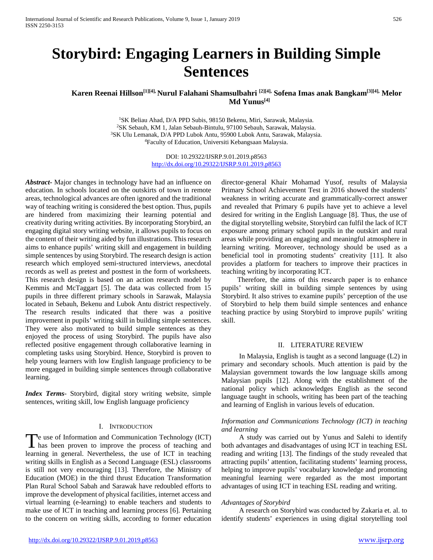# **Storybird: Engaging Learners in Building Simple Sentences**

# **Karen Reenai Hillson[1][4], Nurul Falahani Shamsulbahri [2][4], Sofena Imas anak Bangkam[3][4], Melor Md Yunus[4]**

<sup>1</sup>SK Beliau Ahad, D/A PPD Subis, 98150 Bekenu, Miri, Sarawak, Malaysia. 2SK Sebauh, KM 1, Jalan Sebauh-Bintulu, 97100 Sebauh, Sarawak, Malaysia. 3SK Ulu Lemanak, D/A PPD Lubok Antu, 95900 Lubok Antu, Sarawak, Malaysia. 4Faculty of Education, Universiti Kebangsaan Malaysia.

> DOI: 10.29322/IJSRP.9.01.2019.p8563 <http://dx.doi.org/10.29322/IJSRP.9.01.2019.p8563>

*Abstract***-** Major changes in technology have had an influence on education. In schools located on the outskirts of town in remote areas, technological advances are often ignored and the traditional way of teaching writing is considered the best option. Thus, pupils are hindered from maximizing their learning potential and creativity during writing activities. By incorporating Storybird, an engaging digital story writing website, it allows pupils to focus on the content of their writing aided by fun illustrations. This research aims to enhance pupils' writing skill and engagement in building simple sentences by using Storybird. The research design is action research which employed semi-structured interviews, anecdotal records as well as pretest and posttest in the form of worksheets. This research design is based on an action research model by Kemmis and McTaggart [5]. The data was collected from 15 pupils in three different primary schools in Sarawak, Malaysia located in Sebauh, Bekenu and Lubok Antu district respectively. The research results indicated that there was a positive improvement in pupils' writing skill in building simple sentences. They were also motivated to build simple sentences as they enjoyed the process of using Storybird. The pupils have also reflected positive engagement through collaborative learning in completing tasks using Storybird. Hence, Storybird is proven to help young learners with low English language proficiency to be more engaged in building simple sentences through collaborative learning.

*Index Terms*- Storybird, digital story writing website, simple sentences, writing skill, low English language proficiency

### I. INTRODUCTION

Te use of Information and Communication Technology (ICT) The use of Information and Communication Technology (ICT)<br>has been proven to improve the process of teaching and learning in general. Nevertheless, the use of ICT in teaching writing skills in English as a Second Language (ESL) classrooms is still not very encouraging [13]. Therefore, the Ministry of Education (MOE) in the third thrust Education Transformation Plan Rural School Sabah and Sarawak have redoubled efforts to improve the development of physical facilities, internet access and virtual learning (e-learning) to enable teachers and students to make use of ICT in teaching and learning process [6]. Pertaining to the concern on writing skills, according to former education

director-general Khair Mohamad Yusof, results of Malaysia Primary School Achievement Test in 2016 showed the students' weakness in writing accurate and grammatically-correct answer and revealed that Primary 6 pupils have yet to achieve a level desired for writing in the English Language [8]. Thus, the use of the digital storytelling website, Storybird can fulfil the lack of ICT exposure among primary school pupils in the outskirt and rural areas while providing an engaging and meaningful atmosphere in learning writing. Moreover, technology should be used as a beneficial tool in promoting students' creativity [11]. It also provides a platform for teachers to improve their practices in teaching writing by incorporating ICT.

 Therefore, the aims of this research paper is to enhance pupils' writing skill in building simple sentences by using Storybird. It also strives to examine pupils' perception of the use of Storybird to help them build simple sentences and enhance teaching practice by using Storybird to improve pupils' writing skill.

#### II. LITERATURE REVIEW

 In Malaysia, English is taught as a second language (L2) in primary and secondary schools. Much attention is paid by the Malaysian government towards the low language skills among Malaysian pupils [12]. Along with the establishment of the national policy which acknowledges English as the second language taught in schools, writing has been part of the teaching and learning of English in various levels of education.

# *Information and Communications Technology (ICT) in teaching and learning*

 A study was carried out by Yunus and Salehi to identify both advantages and disadvantages of using ICT in teaching ESL reading and writing [13]. The findings of the study revealed that attracting pupils' attention, facilitating students' learning process, helping to improve pupils' vocabulary knowledge and promoting meaningful learning were regarded as the most important advantages of using ICT in teaching ESL reading and writing.

# *Advantages of Storybird*

 A research on Storybird was conducted by Zakaria et. al. to identify students' experiences in using digital storytelling tool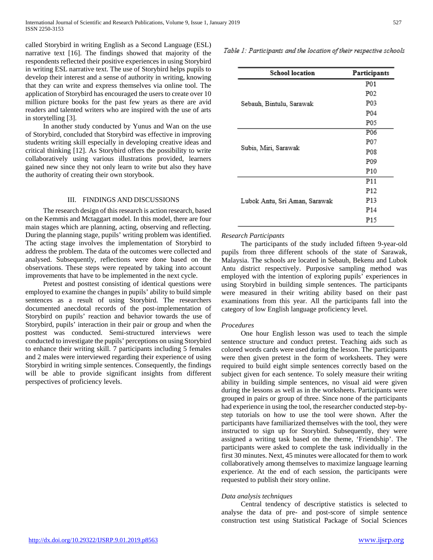called Storybird in writing English as a Second Language (ESL) narrative text [16]. The findings showed that majority of the respondents reflected their positive experiences in using Storybird in writing ESL narrative text. The use of Storybird helps pupils to develop their interest and a sense of authority in writing, knowing that they can write and express themselves via online tool. The application of Storybird has encouraged the users to create over 10 million picture books for the past few years as there are avid readers and talented writers who are inspired with the use of arts in storytelling [3].

 In another study conducted by Yunus and Wan on the use of Storybird, concluded that Storybird was effective in improving students writing skill especially in developing creative ideas and critical thinking [12]. As Storybird offers the possibility to write collaboratively using various illustrations provided, learners gained new since they not only learn to write but also they have the authority of creating their own storybook.

#### III. FINDINGS AND DISCUSSIONS

 The research design of this research is action research, based on the Kemmis and Mctaggart model. In this model, there are four main stages which are planning, acting, observing and reflecting. During the planning stage, pupils' writing problem was identified. The acting stage involves the implementation of Storybird to address the problem. The data of the outcomes were collected and analysed. Subsequently, reflections were done based on the observations. These steps were repeated by taking into account improvements that have to be implemented in the next cycle.

 Pretest and posttest consisting of identical questions were employed to examine the changes in pupils' ability to build simple sentences as a result of using Storybird. The researchers documented anecdotal records of the post-implementation of Storybird on pupils' reaction and behavior towards the use of Storybird, pupils' interaction in their pair or group and when the posttest was conducted. Semi-structured interviews were conducted to investigate the pupils' perceptions on using Storybird to enhance their writing skill. 7 participants including 5 females and 2 males were interviewed regarding their experience of using Storybird in writing simple sentences. Consequently, the findings will be able to provide significant insights from different perspectives of proficiency levels.

Table 1: Participants and the location of their respective schools

| <b>School location</b>        | Participants     |
|-------------------------------|------------------|
| Sebauh, Bintulu, Sarawak      | P01              |
|                               | P02              |
|                               | P03              |
|                               | P04              |
|                               | P05              |
| Subis, Miri, Sarawak          | P <sub>06</sub>  |
|                               | P07              |
|                               | P <sub>0</sub> 8 |
|                               | P09              |
|                               | P10              |
| Lubok Antu, Sri Aman, Sarawak | P11              |
|                               | P <sub>12</sub>  |
|                               | P <sub>13</sub>  |
|                               | P <sub>14</sub>  |
|                               | P15              |

#### *Research Participants*

 The participants of the study included fifteen 9-year-old pupils from three different schools of the state of Sarawak, Malaysia. The schools are located in Sebauh, Bekenu and Lubok Antu district respectively. Purposive sampling method was employed with the intention of exploring pupils' experiences in using Storybird in building simple sentences. The participants were measured in their writing ability based on their past examinations from this year. All the participants fall into the category of low English language proficiency level.

#### *Procedures*

 One hour English lesson was used to teach the simple sentence structure and conduct pretest. Teaching aids such as colored words cards were used during the lesson. The participants were then given pretest in the form of worksheets. They were required to build eight simple sentences correctly based on the subject given for each sentence. To solely measure their writing ability in building simple sentences, no visual aid were given during the lessons as well as in the worksheets. Participants were grouped in pairs or group of three. Since none of the participants had experience in using the tool, the researcher conducted step-bystep tutorials on how to use the tool were shown. After the participants have familiarized themselves with the tool, they were instructed to sign up for Storybird. Subsequently, they were assigned a writing task based on the theme, 'Friendship'. The participants were asked to complete the task individually in the first 30 minutes. Next, 45 minutes were allocated for them to work collaboratively among themselves to maximize language learning experience. At the end of each session, the participants were requested to publish their story online.

#### *Data analysis techniques*

 Central tendency of descriptive statistics is selected to analyse the data of pre- and post-score of simple sentence construction test using Statistical Package of Social Sciences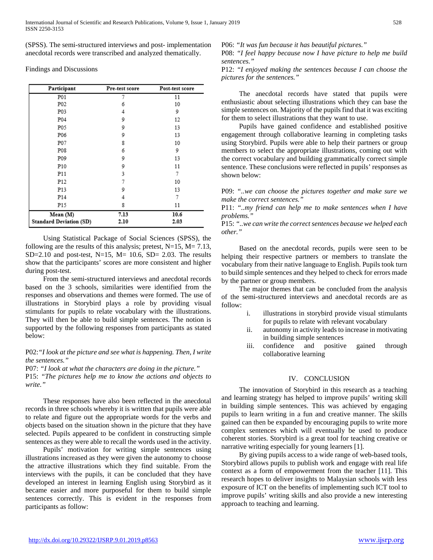(SPSS). The semi-structured interviews and post- implementation anecdotal records were transcribed and analyzed thematically.

Findings and Discussions

| Participant                    | Pre-test score | Post-test score |
|--------------------------------|----------------|-----------------|
| P01                            | 7              | 11              |
| P <sub>0</sub> 2               | 6              | 10              |
| P03                            | 4              | 9               |
| P04                            | 9              | 12              |
| P05                            | 9              | 13              |
| P06                            | 9              | 13              |
| P07                            | 8              | 10              |
| P08                            | 6              | 9               |
| P09                            | 9              | 13              |
| P10                            | 9              | 11              |
| P11                            | 3              | 7               |
| P <sub>12</sub>                | 7              | 10              |
| P13                            | 9              | 13              |
| P <sub>14</sub>                | 4              | 7               |
| P15                            | 8              | 11              |
| Mean (M)                       | 7.13           | 10.6            |
| <b>Standard Deviation (SD)</b> | 2.10           | 2.03            |

 Using Statistical Package of Social Sciences (SPSS), the following are the results of this analysis; pretest,  $N=15$ ,  $M= 7.13$ , SD=2.10 and post-test, N=15, M= 10.6, SD= 2.03. The results show that the participants' scores are more consistent and higher during post-test.

 From the semi-structured interviews and anecdotal records based on the 3 schools, similarities were identified from the responses and observations and themes were formed. The use of illustrations in Storybird plays a role by providing visual stimulants for pupils to relate vocabulary with the illustrations. They will then be able to build simple sentences. The notion is supported by the following responses from participants as stated below:

# P02:*"I look at the picture and see what is happening. Then, I write the sentences."*

P07: *"I look at what the characters are doing in the picture."* P15: *"The pictures help me to know the actions and objects to write."*

 These responses have also been reflected in the anecdotal records in three schools whereby it is written that pupils were able to relate and figure out the appropriate words for the verbs and objects based on the situation shown in the picture that they have selected. Pupils appeared to be confident in constructing simple sentences as they were able to recall the words used in the activity.

 Pupils' motivation for writing simple sentences using illustrations increased as they were given the autonomy to choose the attractive illustrations which they find suitable. From the interviews with the pupils, it can be concluded that they have developed an interest in learning English using Storybird as it became easier and more purposeful for them to build simple sentences correctly. This is evident in the responses from participants as follow:

P06: *"It was fun because it has beautiful pictures."*

P08: *"I feel happy because now I have picture to help me build sentences."*

P12: *"I enjoyed making the sentences because I can choose the pictures for the sentences."*

 The anecdotal records have stated that pupils were enthusiastic about selecting illustrations which they can base the simple sentences on. Majority of the pupils find that it was exciting for them to select illustrations that they want to use.

 Pupils have gained confidence and established positive engagement through collaborative learning in completing tasks using Storybird. Pupils were able to help their partners or group members to select the appropriate illustrations, coming out with the correct vocabulary and building grammatically correct simple sentence. These conclusions were reflected in pupils' responses as shown below:

P09: *"..we can choose the pictures together and make sure we make the correct sentences."*

P11: *"..my friend can help me to make sentences when I have problems."*

P15: *"..we can write the correct sentences because we helped each other."*

 Based on the anecdotal records, pupils were seen to be helping their respective partners or members to translate the vocabulary from their native language to English. Pupils took turn to build simple sentences and they helped to check for errors made by the partner or group members.

 The major themes that can be concluded from the analysis of the semi-structured interviews and anecdotal records are as follow:

- i. illustrations in storybird provide visual stimulants for pupils to relate with relevant vocabulary
- ii. autonomy in activity leads to increase in motivating in building simple sentences
- iii. confidence and positive gained through collaborative learning

# IV. CONCLUSION

 The innovation of Storybird in this research as a teaching and learning strategy has helped to improve pupils' writing skill in building simple sentences. This was achieved by engaging pupils to learn writing in a fun and creative manner. The skills gained can then be expanded by encouraging pupils to write more complex sentences which will eventually be used to produce coherent stories. Storybird is a great tool for teaching creative or narrative writing especially for young learners [1].

 By giving pupils access to a wide range of web-based tools, Storybird allows pupils to publish work and engage with real life context as a form of empowerment from the teacher [11]. This research hopes to deliver insights to Malaysian schools with less exposure of ICT on the benefits of implementing such ICT tool to improve pupils' writing skills and also provide a new interesting approach to teaching and learning.